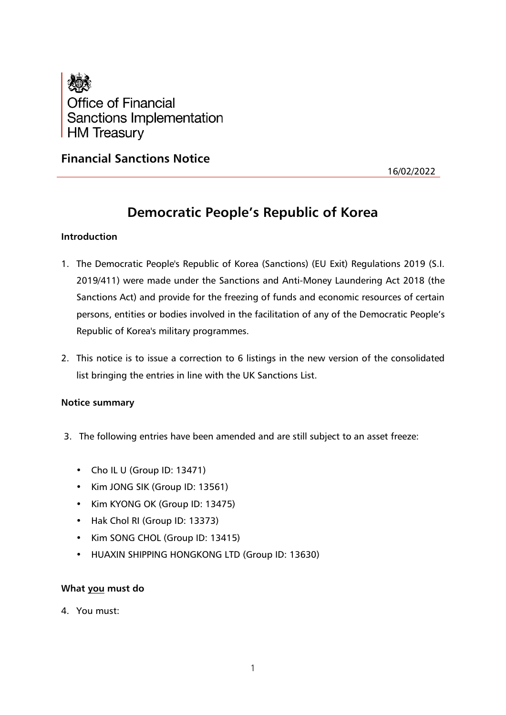

# **Financial Sanctions Notice**

16/02/2022

# **Democratic People's Republic of Korea**

# **Introduction**

- 1. The Democratic People's Republic of Korea (Sanctions) (EU Exit) Regulations 2019 (S.I. 2019/411) were made under the Sanctions and Anti-Money Laundering Act 2018 (the Sanctions Act) and provide for the freezing of funds and economic resources of certain persons, entities or bodies involved in the facilitation of any of the Democratic People's Republic of Korea's military programmes.
- 2. This notice is to issue a correction to 6 listings in the new version of the consolidated list bringing the entries in line with the UK Sanctions List.

## **Notice summary**

- 3. The following entries have been amended and are still subject to an asset freeze:
	- Cho IL U (Group ID: 13471)
	- Kim JONG SIK (Group ID: 13561)
	- Kim KYONG OK (Group ID: 13475)
	- Hak Chol RI (Group ID: 13373)
	- Kim SONG CHOL (Group ID: 13415)
	- HUAXIN SHIPPING HONGKONG LTD (Group ID: 13630)

## **What you must do**

4. You must: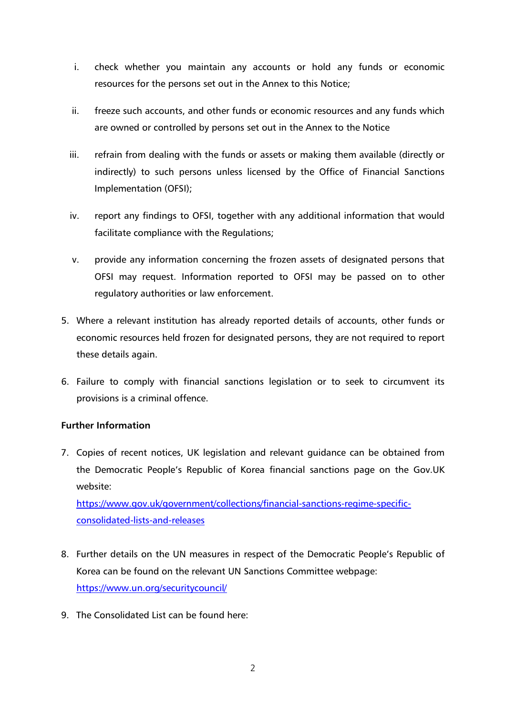- i. check whether you maintain any accounts or hold any funds or economic resources for the persons set out in the Annex to this Notice;
- ii. freeze such accounts, and other funds or economic resources and any funds which are owned or controlled by persons set out in the Annex to the Notice
- iii. refrain from dealing with the funds or assets or making them available (directly or indirectly) to such persons unless licensed by the Office of Financial Sanctions Implementation (OFSI);
- iv. report any findings to OFSI, together with any additional information that would facilitate compliance with the Regulations;
- v. provide any information concerning the frozen assets of designated persons that OFSI may request. Information reported to OFSI may be passed on to other regulatory authorities or law enforcement.
- 5. Where a relevant institution has already reported details of accounts, other funds or economic resources held frozen for designated persons, they are not required to report these details again.
- 6. Failure to comply with financial sanctions legislation or to seek to circumvent its provisions is a criminal offence.

# **Further Information**

7. Copies of recent notices, UK legislation and relevant guidance can be obtained from the Democratic People's Republic of Korea financial sanctions page on the Gov.UK website:

[https://www.gov.uk/government/collections/financial-sanctions-regime-specific](https://www.gov.uk/government/collections/financial-sanctions-regime-specific-consolidated-lists-and-releases)[consolidated-lists-and-releases](https://www.gov.uk/government/collections/financial-sanctions-regime-specific-consolidated-lists-and-releases)

- 8. Further details on the UN measures in respect of the Democratic People's Republic of Korea can be found on the relevant UN Sanctions Committee webpage: <https://www.un.org/securitycouncil/>
- 9. The Consolidated List can be found here: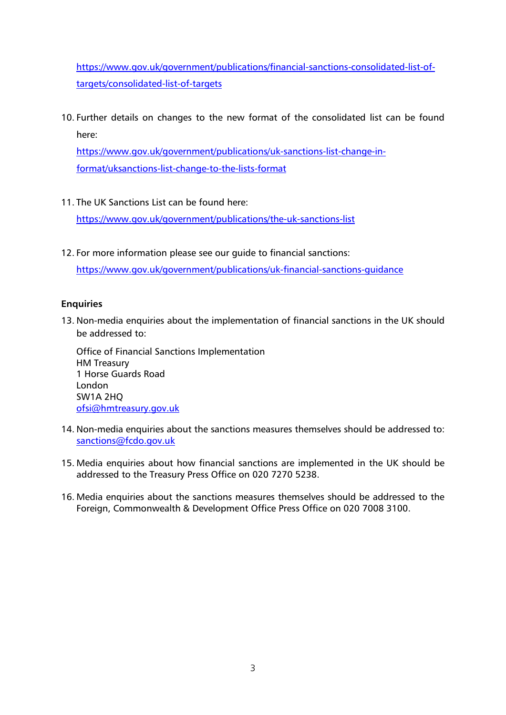[https://www.gov.uk/government/publications/financial-sanctions-consolidated-list-of](https://www.gov.uk/government/publications/financial-sanctions-consolidated-list-of-targets/consolidated-list-of-targets)[targets/consolidated-list-of-targets](https://www.gov.uk/government/publications/financial-sanctions-consolidated-list-of-targets/consolidated-list-of-targets)

10. Further details on changes to the new format of the consolidated list can be found here:

[https://www.gov.uk/government/publications/uk-sanctions-list-change-in](https://www.gov.uk/government/publications/uk-sanctions-list-change-in-format/uksanctions-list-change-to-the-lists-format)[format/uksanctions-list-change-to-the-lists-format](https://www.gov.uk/government/publications/uk-sanctions-list-change-in-format/uksanctions-list-change-to-the-lists-format)

11. The UK Sanctions List can be found here:

<https://www.gov.uk/government/publications/the-uk-sanctions-list>

12. For more information please see our guide to financial sanctions:

<https://www.gov.uk/government/publications/uk-financial-sanctions-guidance>

# **Enquiries**

13. Non-media enquiries about the implementation of financial sanctions in the UK should be addressed to:

Office of Financial Sanctions Implementation HM Treasury 1 Horse Guards Road London SW1A 2HQ [ofsi@hmtreasury.gov.uk](mailto:ofsi@hmtreasury.gov.uk)

- 14. Non-media enquiries about the sanctions measures themselves should be addressed to: [sanctions@fcdo.gov.uk](mailto:sanctions@fcdo.gov.uk)
- 15. Media enquiries about how financial sanctions are implemented in the UK should be addressed to the Treasury Press Office on 020 7270 5238.
- 16. Media enquiries about the sanctions measures themselves should be addressed to the Foreign, Commonwealth & Development Office Press Office on 020 7008 3100.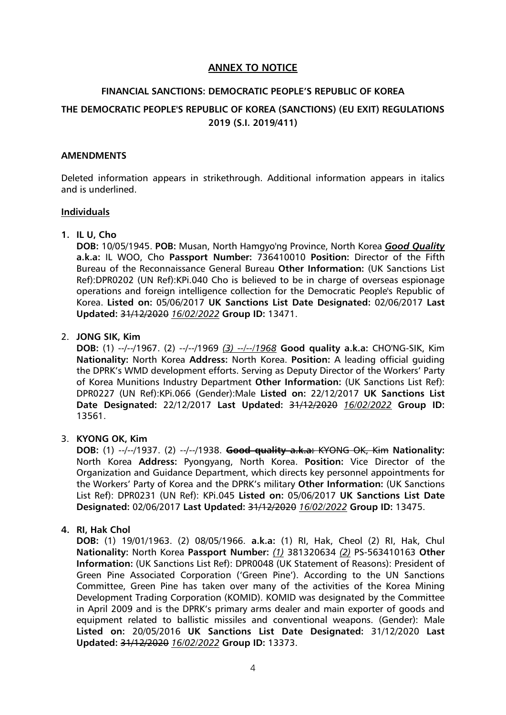# **ANNEX TO NOTICE**

# **FINANCIAL SANCTIONS: DEMOCRATIC PEOPLE'S REPUBLIC OF KOREA THE DEMOCRATIC PEOPLE'S REPUBLIC OF KOREA (SANCTIONS) (EU EXIT) REGULATIONS 2019 (S.I. 2019/411)**

#### **AMENDMENTS**

Deleted information appears in strikethrough. Additional information appears in italics and is underlined.

#### **Individuals**

### **1. IL U, Cho**

**DOB:** 10/05/1945. **POB:** Musan, North Hamgyo'ng Province, North Korea *Good Quality* **a.k.a:** IL WOO, Cho **Passport Number:** 736410010 **Position:** Director of the Fifth Bureau of the Reconnaissance General Bureau **Other Information:** (UK Sanctions List Ref):DPR0202 (UN Ref):KPi.040 Cho is believed to be in charge of overseas espionage operations and foreign intelligence collection for the Democratic People's Republic of Korea. **Listed on:** 05/06/2017 **UK Sanctions List Date Designated:** 02/06/2017 **Last Updated:** 31/12/2020 *16/02/2022* **Group ID:** 13471.

### 2. **JONG SIK, Kim**

**DOB:** (1) --/--/1967. (2) --/--/1969 *(3) --/--/1968* **Good quality a.k.a:** CHO'NG-SIK, Kim **Nationality:** North Korea **Address:** North Korea. **Position:** A leading official guiding the DPRK's WMD development efforts. Serving as Deputy Director of the Workers' Party of Korea Munitions Industry Department **Other Information:** (UK Sanctions List Ref): DPR0227 (UN Ref):KPi.066 (Gender):Male **Listed on:** 22/12/2017 **UK Sanctions List Date Designated:** 22/12/2017 **Last Updated:** 31/12/2020 *16/02/2022* **Group ID:** 13561.

#### 3. **KYONG OK, Kim**

**DOB:** (1) --/--/1937. (2) --/--/1938. **Good quality a.k.a:** KYONG OK, Kim **Nationality:** North Korea **Address:** Pyongyang, North Korea. **Position:** Vice Director of the Organization and Guidance Department, which directs key personnel appointments for the Workers' Party of Korea and the DPRK's military **Other Information:** (UK Sanctions List Ref): DPR0231 (UN Ref): KPi.045 **Listed on:** 05/06/2017 **UK Sanctions List Date Designated:** 02/06/2017 **Last Updated:** 31/12/2020 *16/02/2022* **Group ID:** 13475.

## **4. RI, Hak Chol**

**DOB:** (1) 19/01/1963. (2) 08/05/1966. **a.k.a:** (1) RI, Hak, Cheol (2) RI, Hak, Chul **Nationality:** North Korea **Passport Number:** *(1)* 381320634 *(2)* PS-563410163 **Other Information:** (UK Sanctions List Ref): DPR0048 (UK Statement of Reasons): President of Green Pine Associated Corporation ('Green Pine'). According to the UN Sanctions Committee, Green Pine has taken over many of the activities of the Korea Mining Development Trading Corporation (KOMID). KOMID was designated by the Committee in April 2009 and is the DPRK's primary arms dealer and main exporter of goods and equipment related to ballistic missiles and conventional weapons. (Gender): Male **Listed on:** 20/05/2016 **UK Sanctions List Date Designated:** 31/12/2020 **Last Updated:** 31/12/2020 *16/02/2022* **Group ID:** 13373.